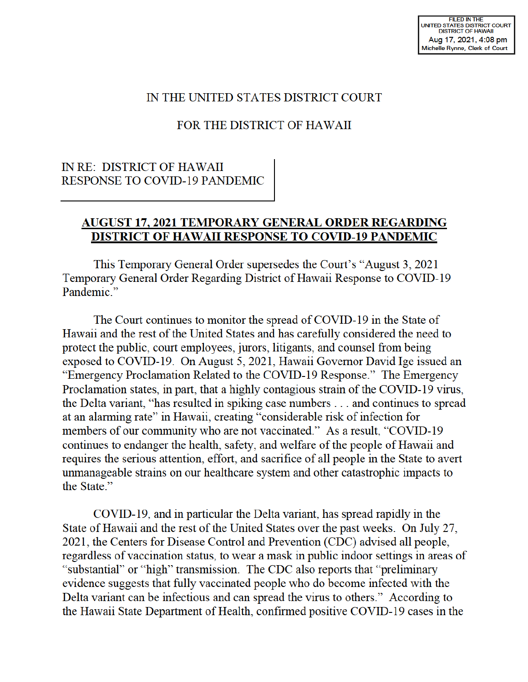### IN THE UNITED STATES DISTRICT COURT

### FOR THE DISTRICT OF HAWAII

### IN RE: DISTRICT OF HAWAII RESPONSE TO COVID-19 PANDEMIC

#### **AUGUST 17, 2021 TEMPORARY GENERAL ORDER REGARDING DISTRICT OF HAW All RESPONSE TO COVID-19 PANDEMIC**

This Temporary General Order supersedes the Court's "August 3, 2021 Temporary General Order Regarding District of Hawaii Response to COVID-19 Pandemic."

The Court continues to monitor the spread of COVID-19 in the State of Hawaii and the rest of the United States and has carefully considered the need to protect the public, court employees, jurors, litigants, and counsel from being exposed to COVID-19. On August 5, 2021, Hawaii Governor David Ige issued an "Emergency Proclamation Related to the COVID-19 Response." The Emergency Proclamation states, in part, that a highly contagious strain of the COVID-19 virus, the Delta variant, "has resulted in spiking case numbers ... and continues to spread at an alarming rate" in Hawaii, creating "considerable risk of infection for members of our community who are not vaccinated." As a result, "COVID-19 continues to endanger the health, safety, and welfare of the people of Hawaii and requires the serious attention, effort, and sacrifice of all people in the State to avert unmanageable strains on our healthcare system and other catastrophic impacts to the State."

COVID-19, and in particular the Delta variant, has spread rapidly in the State of Hawaii and the rest of the United States over the past weeks. On July 27, 2021, the Centers for Disease Control and Prevention (CDC) advised all people, regardless of vaccination status, to wear a mask in public indoor settings in areas of "substantial" or "high" transmission. The CDC also reports that "preliminary evidence suggests that fully vaccinated people who do become infected with the Delta variant can be infectious and can spread the virus to others." According to the Hawaii State Department of Health, confirmed positive COVID-19 cases in the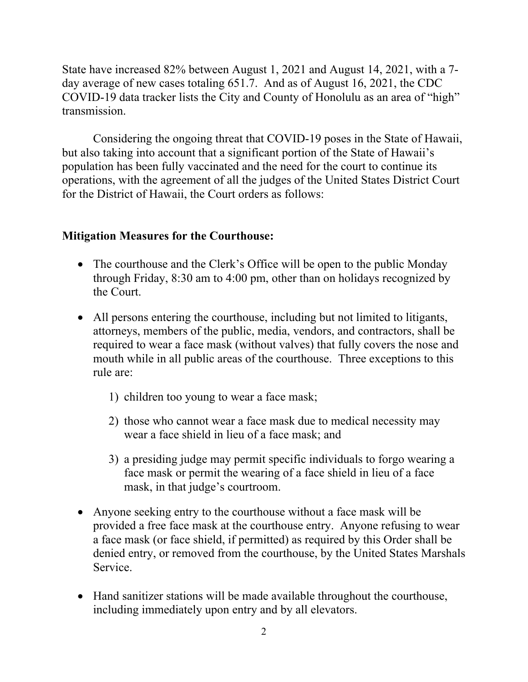State have increased 82% between August 1, 2021 and August 14, 2021, with a 7 day average of new cases totaling 651.7. And as of August 16, 2021, the CDC COVID-19 data tracker lists the City and County of Honolulu as an area of "high" transmission.

 Considering the ongoing threat that COVID-19 poses in the State of Hawaii, but also taking into account that a significant portion of the State of Hawaii's population has been fully vaccinated and the need for the court to continue its operations, with the agreement of all the judges of the United States District Court for the District of Hawaii, the Court orders as follows:

### **Mitigation Measures for the Courthouse:**

- The courthouse and the Clerk's Office will be open to the public Monday through Friday, 8:30 am to 4:00 pm, other than on holidays recognized by the Court.
- All persons entering the courthouse, including but not limited to litigants, attorneys, members of the public, media, vendors, and contractors, shall be required to wear a face mask (without valves) that fully covers the nose and mouth while in all public areas of the courthouse. Three exceptions to this rule are:
	- 1) children too young to wear a face mask;
	- 2) those who cannot wear a face mask due to medical necessity may wear a face shield in lieu of a face mask; and
	- 3) a presiding judge may permit specific individuals to forgo wearing a face mask or permit the wearing of a face shield in lieu of a face mask, in that judge's courtroom.
- Anyone seeking entry to the courthouse without a face mask will be provided a free face mask at the courthouse entry. Anyone refusing to wear a face mask (or face shield, if permitted) as required by this Order shall be denied entry, or removed from the courthouse, by the United States Marshals Service.
- Hand sanitizer stations will be made available throughout the courthouse, including immediately upon entry and by all elevators.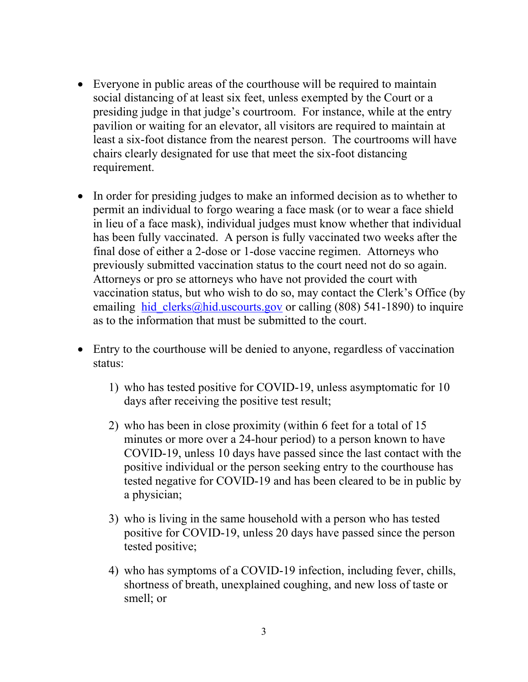- Everyone in public areas of the courthouse will be required to maintain social distancing of at least six feet, unless exempted by the Court or a presiding judge in that judge's courtroom. For instance, while at the entry pavilion or waiting for an elevator, all visitors are required to maintain at least a six-foot distance from the nearest person. The courtrooms will have chairs clearly designated for use that meet the six-foot distancing requirement.
- In order for presiding judges to make an informed decision as to whether to permit an individual to forgo wearing a face mask (or to wear a face shield in lieu of a face mask), individual judges must know whether that individual has been fully vaccinated. A person is fully vaccinated two weeks after the final dose of either a 2-dose or 1-dose vaccine regimen. Attorneys who previously submitted vaccination status to the court need not do so again. Attorneys or pro se attorneys who have not provided the court with vaccination status, but who wish to do so, may contact the Clerk's Office (by emailing hid clerks@hid.uscourts.gov or calling (808) 541-1890) to inquire as to the information that must be submitted to the court.
- Entry to the courthouse will be denied to anyone, regardless of vaccination status:
	- 1) who has tested positive for COVID-19, unless asymptomatic for 10 days after receiving the positive test result;
	- 2) who has been in close proximity (within 6 feet for a total of 15 minutes or more over a 24-hour period) to a person known to have COVID-19, unless 10 days have passed since the last contact with the positive individual or the person seeking entry to the courthouse has tested negative for COVID-19 and has been cleared to be in public by a physician;
	- 3) who is living in the same household with a person who has tested positive for COVID-19, unless 20 days have passed since the person tested positive;
	- 4) who has symptoms of a COVID-19 infection, including fever, chills, shortness of breath, unexplained coughing, and new loss of taste or smell; or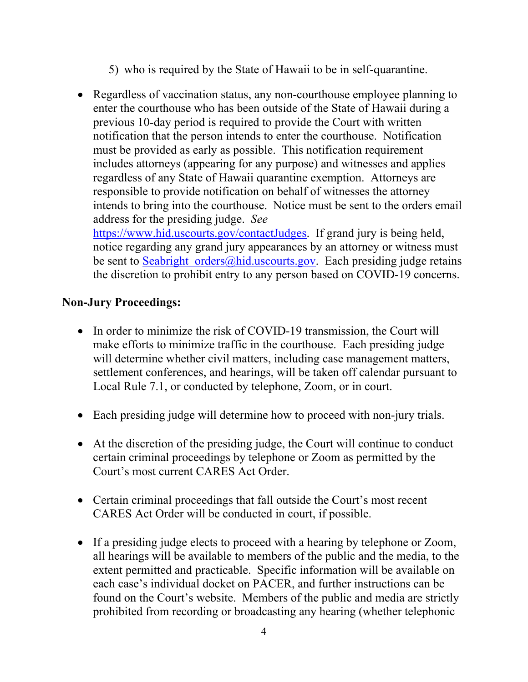- 5) who is required by the State of Hawaii to be in self-quarantine.
- Regardless of vaccination status, any non-courthouse employee planning to enter the courthouse who has been outside of the State of Hawaii during a previous 10-day period is required to provide the Court with written notification that the person intends to enter the courthouse. Notification must be provided as early as possible. This notification requirement includes attorneys (appearing for any purpose) and witnesses and applies regardless of any State of Hawaii quarantine exemption. Attorneys are responsible to provide notification on behalf of witnesses the attorney intends to bring into the courthouse. Notice must be sent to the orders email address for the presiding judge. *See* https://www.hid.uscourts.gov/contactJudges. If grand jury is being held,

notice regarding any grand jury appearances by an attorney or witness must be sent to Seabright orders  $\omega$  hid.uscourts.gov. Each presiding judge retains the discretion to prohibit entry to any person based on COVID-19 concerns.

## **Non-Jury Proceedings:**

- In order to minimize the risk of COVID-19 transmission, the Court will make efforts to minimize traffic in the courthouse. Each presiding judge will determine whether civil matters, including case management matters, settlement conferences, and hearings, will be taken off calendar pursuant to Local Rule 7.1, or conducted by telephone, Zoom, or in court.
- Each presiding judge will determine how to proceed with non-jury trials.
- At the discretion of the presiding judge, the Court will continue to conduct certain criminal proceedings by telephone or Zoom as permitted by the Court's most current CARES Act Order.
- Certain criminal proceedings that fall outside the Court's most recent CARES Act Order will be conducted in court, if possible.
- If a presiding judge elects to proceed with a hearing by telephone or Zoom, all hearings will be available to members of the public and the media, to the extent permitted and practicable. Specific information will be available on each case's individual docket on PACER, and further instructions can be found on the Court's website. Members of the public and media are strictly prohibited from recording or broadcasting any hearing (whether telephonic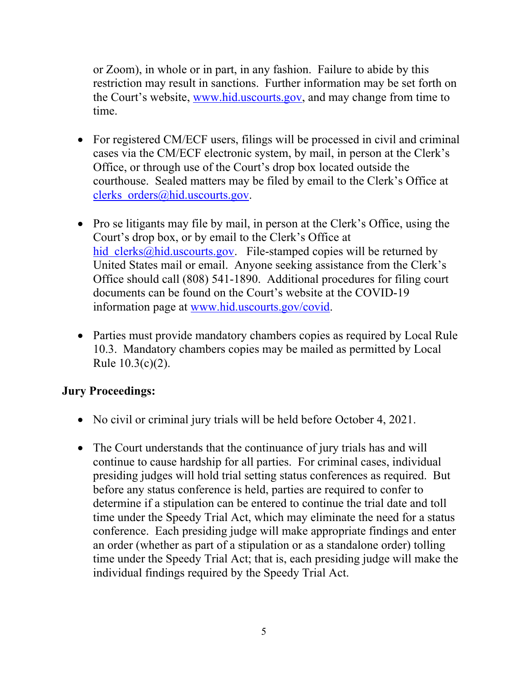or Zoom), in whole or in part, in any fashion. Failure to abide by this restriction may result in sanctions. Further information may be set forth on the Court's website, www.hid.uscourts.gov, and may change from time to time.

- For registered CM/ECF users, filings will be processed in civil and criminal cases via the CM/ECF electronic system, by mail, in person at the Clerk's Office, or through use of the Court's drop box located outside the courthouse. Sealed matters may be filed by email to the Clerk's Office at clerks orders@hid.uscourts.gov.
- Pro se litigants may file by mail, in person at the Clerk's Office, using the Court's drop box, or by email to the Clerk's Office at hid clerks@hid.uscourts.gov. File-stamped copies will be returned by United States mail or email. Anyone seeking assistance from the Clerk's Office should call (808) 541-1890. Additional procedures for filing court documents can be found on the Court's website at the COVID-19 information page at www.hid.uscourts.gov/covid.
- Parties must provide mandatory chambers copies as required by Local Rule 10.3. Mandatory chambers copies may be mailed as permitted by Local Rule 10.3(c)(2).

## **Jury Proceedings:**

- No civil or criminal jury trials will be held before October 4, 2021.
- The Court understands that the continuance of jury trials has and will continue to cause hardship for all parties. For criminal cases, individual presiding judges will hold trial setting status conferences as required. But before any status conference is held, parties are required to confer to determine if a stipulation can be entered to continue the trial date and toll time under the Speedy Trial Act, which may eliminate the need for a status conference. Each presiding judge will make appropriate findings and enter an order (whether as part of a stipulation or as a standalone order) tolling time under the Speedy Trial Act; that is, each presiding judge will make the individual findings required by the Speedy Trial Act.